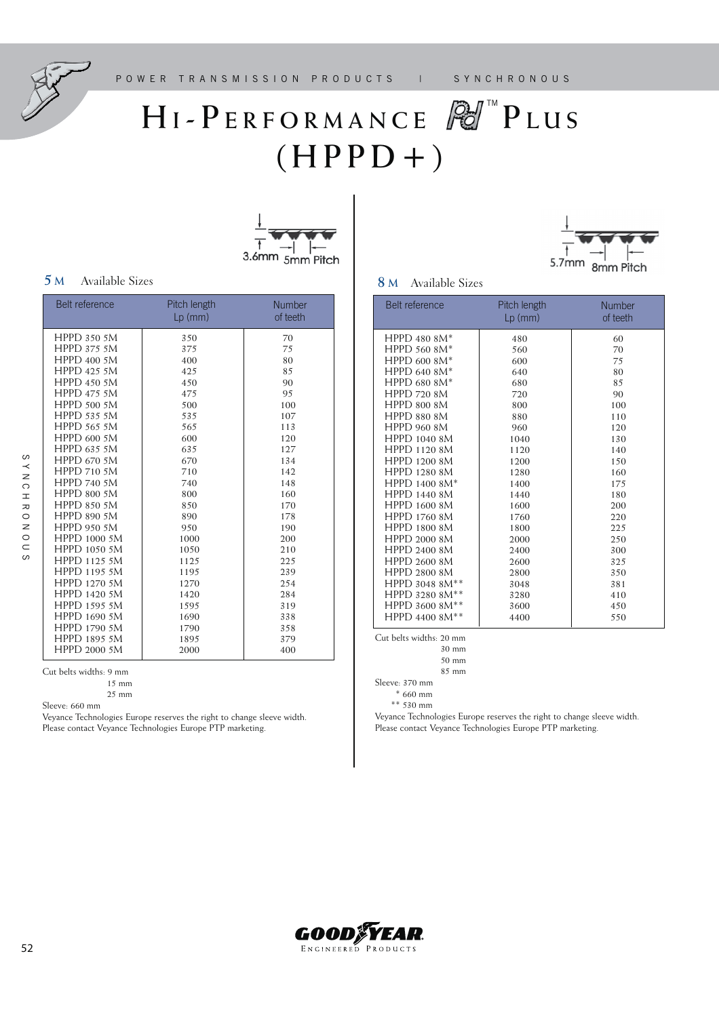

# $H I - P E R F O R M A N C E$   $P A^m P L U S$  $(HPPD + )$





### **5 <sup>M</sup>** Available Sizes **8 <sup>M</sup>** Available Sizes

| <b>Belt reference</b> | Pitch length<br>$Lp$ (mm) | <b>Number</b><br>of teeth |
|-----------------------|---------------------------|---------------------------|
| <b>HPPD 350 5M</b>    | 350                       | 70                        |
| <b>HPPD 375 5M</b>    | 375                       | 75                        |
| <b>HPPD 400 5M</b>    | 400                       | 80                        |
| <b>HPPD 425 5M</b>    | 425                       | 85                        |
| <b>HPPD 450 5M</b>    | 450                       | 90                        |
| <b>HPPD 475 5M</b>    | 475                       | 95                        |
| <b>HPPD 500 5M</b>    | 500                       | 100                       |
| <b>HPPD 535 5M</b>    | 535                       | 107                       |
| <b>HPPD 565 5M</b>    | 565                       | 113                       |
| <b>HPPD 600 5M</b>    | 600                       | 120                       |
| <b>HPPD 635 5M</b>    | 635                       | 127                       |
| <b>HPPD 670 5M</b>    | 670                       | 134                       |
| <b>HPPD 710 5M</b>    | 710                       | 142                       |
| <b>HPPD 740 5M</b>    | 740                       | 148                       |
| <b>HPPD 800 5M</b>    | 800                       | 160                       |
| <b>HPPD 850 5M</b>    | 850                       | 170                       |
| <b>HPPD 890 5M</b>    | 890                       | 178                       |
| <b>HPPD 950 5M</b>    | 950                       | 190                       |
| HPPD 1000 5M          | 1000                      | 200                       |
| HPPD 1050 5M          | 1050                      | 210                       |
| HPPD 1125 5M          | 1125                      | 225                       |
| HPPD 1195 5M          | 1195                      | 239                       |
| HPPD 1270 5M          | 1270                      | 254                       |
| HPPD 1420 5M          | 1420                      | 284                       |
| HPPD 1595 5M          | 1595                      | 319                       |
| HPPD 1690 5M          | 1690                      | 338                       |
| HPPD 1790 5M          | 1790                      | 358                       |
| HPPD 1895 5M          | 1895                      | 379                       |
| HPPD 2000 5M          | 2000                      | 400                       |

Cut belts widths: 9 mm

Sleeve: 660 mm

Veyance Technologies Europe reserves the right to change sleeve width. Please contact Veyance Technologies Europe PTP marketing.

| Belt reference      | Pitch length<br>$Lp$ (mm) | <b>Number</b><br>of teeth |
|---------------------|---------------------------|---------------------------|
| <b>HPPD 480 8M*</b> | 480                       | 60                        |
| <b>HPPD 560 8M*</b> | 560                       | 70                        |
| <b>HPPD 600 8M*</b> | 600                       | 75                        |
| HPPD 640 8M*        | 640                       | 80                        |
| HPPD 680 8M*        | 680                       | 85                        |
| <b>HPPD 720 8M</b>  | 720                       | 90                        |
| <b>HPPD 800 8M</b>  | 800                       | 100                       |
| <b>HPPD 880 8M</b>  | 880                       | 110                       |
| <b>HPPD 960 8M</b>  | 960                       | 120                       |
| <b>HPPD 1040 8M</b> | 1040                      | 130                       |
| HPPD 1120 8M        | 1120                      | 140                       |
| <b>HPPD 1200 8M</b> | 1200                      | 150                       |
| HPPD 1280 8M        | 1280                      | 160                       |
| HPPD 1400 8M*       | 1400                      | 175                       |
| <b>HPPD 1440 8M</b> | 1440                      | 180                       |
| HPPD 1600 8M        | 1600                      | 200                       |
| <b>HPPD 1760 8M</b> | 1760                      | 220                       |
| <b>HPPD 1800 8M</b> | 1800                      | 225                       |
| HPPD 2000 8M        | 2000                      | 250                       |
| HPPD 2400 8M        | 2400                      | 300                       |
| HPPD 2600 8M        | 2600                      | 325                       |
| HPPD 2800 8M        | 2800                      | 350                       |
| HPPD 3048 8M**      | 3048                      | 381                       |
| HPPD 3280 8M**      | 3280                      | 410                       |
| HPPD 3600 8M**      | 3600                      | 450                       |
| HPPD 4400 8M**      | 4400                      | 550                       |

Cut belts widths: 20 mm

50 mm

85 mm

Sleeve: 370 mm

\* 660 mm

\*\* 530 mm

Veyance Technologies Europe reserves the right to change sleeve width. Please contact Veyance Technologies Europe PTP marketing.



 <sup>15</sup> mm 25 mm